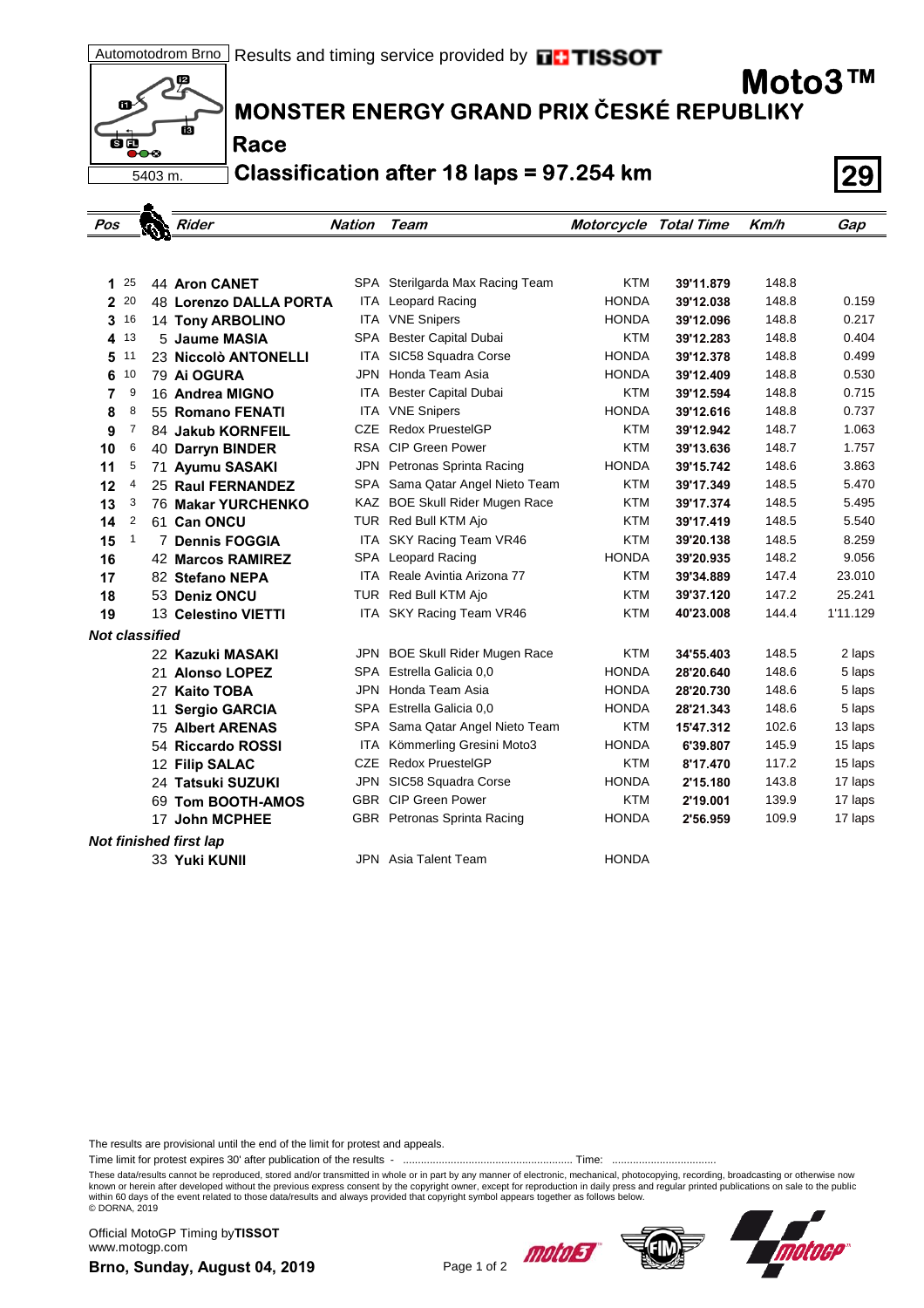12  $\mathbf{a}^{\prime}$ Ġ ंब  $\overline{\bullet}\bullet\circ$ 5403 m.

 $\bullet$ 

## **MONSTER ENERGY GRAND PRIX ČESKÉ REPUBLIKY**

**Race**

**Classification after 18 laps = 97.254 km 29**

| Pos                    |              |  | Rider                    | <b>Nation</b> | Team                                | Motorcycle Total Time |           | Km/h  | Gap      |
|------------------------|--------------|--|--------------------------|---------------|-------------------------------------|-----------------------|-----------|-------|----------|
|                        |              |  |                          |               |                                     |                       |           |       |          |
|                        |              |  |                          |               |                                     |                       |           |       |          |
| 1                      | 25           |  | 44 Aron CANET            |               | SPA Sterilgarda Max Racing Team     | KTM                   | 39'11.879 | 148.8 |          |
|                        | 2 20         |  | 48 Lorenzo DALLA PORTA   |               | <b>ITA</b> Leopard Racing           | <b>HONDA</b>          | 39'12.038 | 148.8 | 0.159    |
| 3                      | 16           |  | <b>14 Tony ARBOLINO</b>  |               | ITA VNE Snipers                     | <b>HONDA</b>          | 39'12.096 | 148.8 | 0.217    |
|                        | 4 13         |  | 5 Jaume MASIA            |               | SPA Bester Capital Dubai            | <b>KTM</b>            | 39'12.283 | 148.8 | 0.404    |
| 5                      | 11           |  | 23 Niccolò ANTONELLI     |               | ITA SIC58 Squadra Corse             | <b>HONDA</b>          | 39'12.378 | 148.8 | 0.499    |
| 6                      | 10           |  | 79 Ai OGURA              |               | JPN Honda Team Asia                 | <b>HONDA</b>          | 39'12.409 | 148.8 | 0.530    |
| 7                      | 9            |  | 16 Andrea MIGNO          |               | ITA Bester Capital Dubai            | <b>KTM</b>            | 39'12.594 | 148.8 | 0.715    |
| 8                      | 8            |  | 55 Romano FENATI         |               | <b>ITA VNE Snipers</b>              | <b>HONDA</b>          | 39'12.616 | 148.8 | 0.737    |
| 9                      | 7            |  | 84 Jakub KORNFEIL        | CZE           | <b>Redox PruestelGP</b>             | KTM                   | 39'12.942 | 148.7 | 1.063    |
| 10                     | 6            |  | 40 Darryn BINDER         |               | RSA CIP Green Power                 | <b>KTM</b>            | 39'13.636 | 148.7 | 1.757    |
| 11                     | 5            |  | 71 Ayumu SASAKI          |               | JPN Petronas Sprinta Racing         | <b>HONDA</b>          | 39'15.742 | 148.6 | 3.863    |
| 12                     | 4            |  | 25 Raul FERNANDEZ        |               | SPA Sama Qatar Angel Nieto Team     | <b>KTM</b>            | 39'17.349 | 148.5 | 5.470    |
| 13                     | 3            |  | 76 Makar YURCHENKO       |               | KAZ BOE Skull Rider Mugen Race      | <b>KTM</b>            | 39'17.374 | 148.5 | 5.495    |
| 14                     | 2            |  | 61 Can ONCU              |               | TUR Red Bull KTM Ajo                | <b>KTM</b>            | 39'17.419 | 148.5 | 5.540    |
| 15                     | $\mathbf{1}$ |  | <b>7 Dennis FOGGIA</b>   |               | ITA SKY Racing Team VR46            | <b>KTM</b>            | 39'20.138 | 148.5 | 8.259    |
| 16                     |              |  | <b>42 Marcos RAMIREZ</b> |               | SPA Leopard Racing                  | <b>HONDA</b>          | 39'20.935 | 148.2 | 9.056    |
| 17                     |              |  | 82 Stefano NEPA          |               | <b>ITA</b> Reale Avintia Arizona 77 | <b>KTM</b>            | 39'34.889 | 147.4 | 23.010   |
| 18                     |              |  | 53 Deniz ONCU            |               | TUR Red Bull KTM Ajo                | <b>KTM</b>            | 39'37.120 | 147.2 | 25.241   |
| 19                     |              |  | 13 Celestino VIETTI      |               | ITA SKY Racing Team VR46            | KTM                   | 40'23.008 | 144.4 | 1'11.129 |
| <b>Not classified</b>  |              |  |                          |               |                                     |                       |           |       |          |
|                        |              |  | 22 Kazuki MASAKI         |               | JPN BOE Skull Rider Mugen Race      | <b>KTM</b>            | 34'55.403 | 148.5 | 2 laps   |
|                        |              |  | 21 Alonso LOPEZ          |               | SPA Estrella Galicia 0.0            | <b>HONDA</b>          | 28'20.640 | 148.6 | 5 laps   |
|                        |              |  | 27 Kaito TOBA            |               | JPN Honda Team Asia                 | <b>HONDA</b>          | 28'20.730 | 148.6 | 5 laps   |
|                        |              |  | 11 Sergio GARCIA         |               | SPA Estrella Galicia 0,0            | <b>HONDA</b>          | 28'21.343 | 148.6 | 5 laps   |
|                        |              |  | <b>75 Albert ARENAS</b>  |               | SPA Sama Qatar Angel Nieto Team     | <b>KTM</b>            | 15'47.312 | 102.6 | 13 laps  |
|                        |              |  | 54 Riccardo ROSSI        | ITA           | Kömmerling Gresini Moto3            | <b>HONDA</b>          | 6'39.807  | 145.9 | 15 laps  |
|                        |              |  | 12 Filip SALAC           | CZE           | <b>Redox PruestelGP</b>             | <b>KTM</b>            | 8'17.470  | 117.2 | 15 laps  |
|                        |              |  | 24 Tatsuki SUZUKI        |               | JPN SIC58 Squadra Corse             | <b>HONDA</b>          | 2'15.180  | 143.8 | 17 laps  |
|                        |              |  | 69 Tom BOOTH-AMOS        |               | <b>GBR</b> CIP Green Power          | KTM                   | 2'19.001  | 139.9 | 17 laps  |
|                        |              |  | 17 John MCPHEE           |               | GBR Petronas Sprinta Racing         | <b>HONDA</b>          | 2'56.959  | 109.9 | 17 laps  |
| Not finished first lap |              |  |                          |               |                                     |                       |           |       |          |
|                        |              |  | 33 Yuki KUNII            |               | JPN Asia Talent Team                | <b>HONDA</b>          |           |       |          |
|                        |              |  |                          |               |                                     |                       |           |       |          |

The results are provisional until the end of the limit for protest and appeals.

Time limit for protest expires 30' after publication of the results - ......................................................... Time: ...................................

These data/results cannot be reproduced, stored and/or transmitted in whole or in part by any manner of electronic, mechanical, photocopying, recording, broadcasting or otherwise now<br>known or herein after developed without within 60 days of the event related to those data/results and always provided that copyright symbol appears together as follows below. © DORNA, 2019

**Brno, Sunday, August 04, 2019** Page 1 of 2 Official MotoGP Timing by **TISSOT**www.motogp.com







**Moto3™**